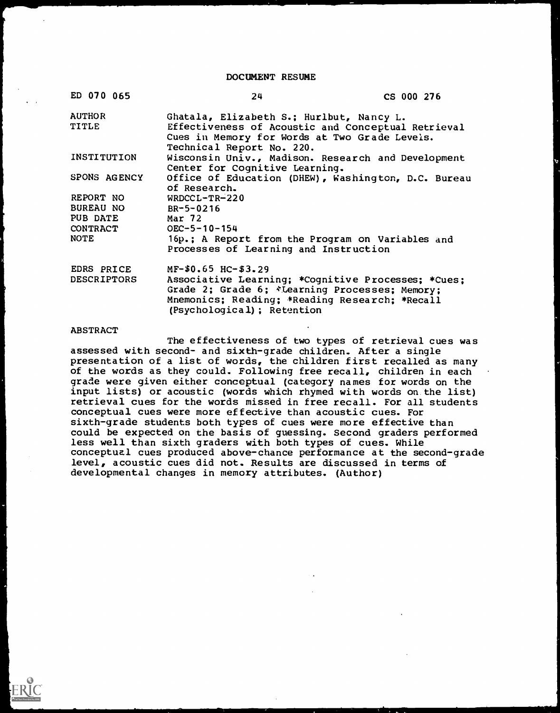DOCUMENT RESUME

| 24                         | CS 000 276                                        |                                                                                                                                                                                                                                                                                                                                                                                                                                                                                                                                                       |
|----------------------------|---------------------------------------------------|-------------------------------------------------------------------------------------------------------------------------------------------------------------------------------------------------------------------------------------------------------------------------------------------------------------------------------------------------------------------------------------------------------------------------------------------------------------------------------------------------------------------------------------------------------|
|                            |                                                   |                                                                                                                                                                                                                                                                                                                                                                                                                                                                                                                                                       |
|                            |                                                   |                                                                                                                                                                                                                                                                                                                                                                                                                                                                                                                                                       |
| of Research.               |                                                   |                                                                                                                                                                                                                                                                                                                                                                                                                                                                                                                                                       |
| $WRDCCL-TR-220$            |                                                   |                                                                                                                                                                                                                                                                                                                                                                                                                                                                                                                                                       |
| $BR - 5 - 0216$            |                                                   |                                                                                                                                                                                                                                                                                                                                                                                                                                                                                                                                                       |
| <b>Mar 72</b>              |                                                   |                                                                                                                                                                                                                                                                                                                                                                                                                                                                                                                                                       |
| $OEC - 5 - 10 - 154$       |                                                   |                                                                                                                                                                                                                                                                                                                                                                                                                                                                                                                                                       |
|                            |                                                   |                                                                                                                                                                                                                                                                                                                                                                                                                                                                                                                                                       |
|                            |                                                   |                                                                                                                                                                                                                                                                                                                                                                                                                                                                                                                                                       |
| (Psychological); Retention |                                                   |                                                                                                                                                                                                                                                                                                                                                                                                                                                                                                                                                       |
|                            | Technical Report No. 220.<br>$MF-50.65$ HC-\$3.29 | Ghatala, Elizabeth S.; Hurlbut, Nancy L.<br>Effectiveness of Acoustic and Conceptual Retrieval<br>Cues in Memory for Words at Two Grade Levels.<br>Wisconsin Univ., Madison. Research and Development<br>Center for Cognitive Learning.<br>Office of Education (DHEW), Washington, D.C. Bureau<br>16p.; A Report from the Program on Variables and<br>Processes of Learning and Instruction<br>Associative Learning; *Cognitive Processes; *Cues;<br>Grade 2; Grade 6; *Learning Processes; Memory;<br>Mnemonics; Reading; *Reading Research; *Recall |

#### **ABSTRACT**

The effectiveness of two types of retrieval cues was assessed with second- and sixth-grade children. After a single presentation of a list of words, the children first recalled as many of the words as they could. Following free recall, children in each grade were given either conceptual (category names for words on the input lists) or acoustic (words which rhymed with words on the list) retrieval cues for the words missed in free recall. For all students conceptual cues were more effective than acoustic cues. For sixth-grade students both types of cues were more effective than could be expected on the basis of guessing. Second graders performed less well than sixth graders with both types of cues. While conceptual cues produced above-chance performance at the second-grade level, acoustic cues did not. Results are discussed in terms of developmental changes in memory attributes. (Author)

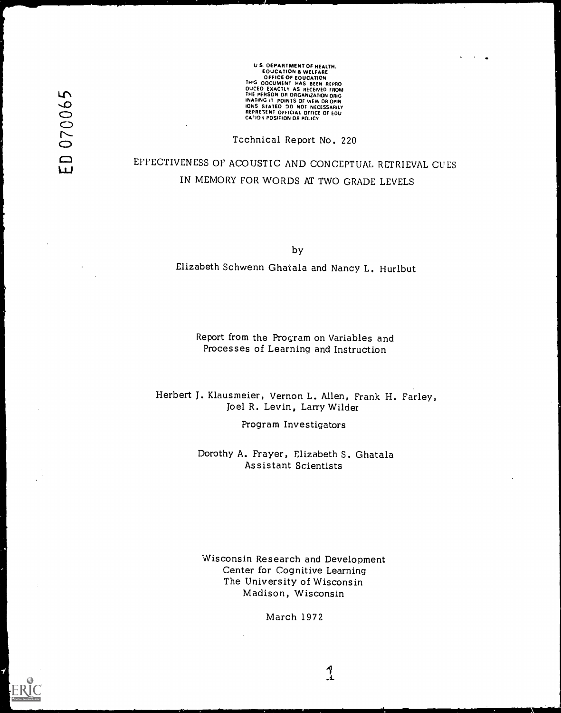070065  $\begin{array}{c} 1 \end{array}$  US DEPARTMENT OF HEALTH.<br>
EQUICATION & WELFARE<br>
OFFICE OF EQUICATION<br>
THIS ODCUMENT HAS BEEN REPRO<br>
DUCED EXACTLY AS RECEIVED FROM<br>
THE PERSON OR ORGANIZATION ORIG<br>
INATING IT POINTS OF VIEW OR OPIN<br>
INATING IT POINTS OF V

Technical Report No. 220

# EFFECTIVENESS OF ACOUSTIC AND CONCEPTUAL RETRIEVAL CUES IN MEMORY FOR WORDS AT TWO GRADE LEVELS

by

Elizabeth Schwenn Ghatala and Nancy L. Hurlbut

Report from the Program on Variables and Processes of Learning and Instruction

Herbert J. Klausmeier, Vernon L. Allen, Frank H. Farley, Joel R. Levin, Larry Wilder

Program Investigators

Dorothy A. Frayer, Elizabeth S. Ghatala Assistant Scientists

Wisconsin Research and Development Center for Cognitive Learning The University of Wisconsin Madison, Wisconsin

March 1972

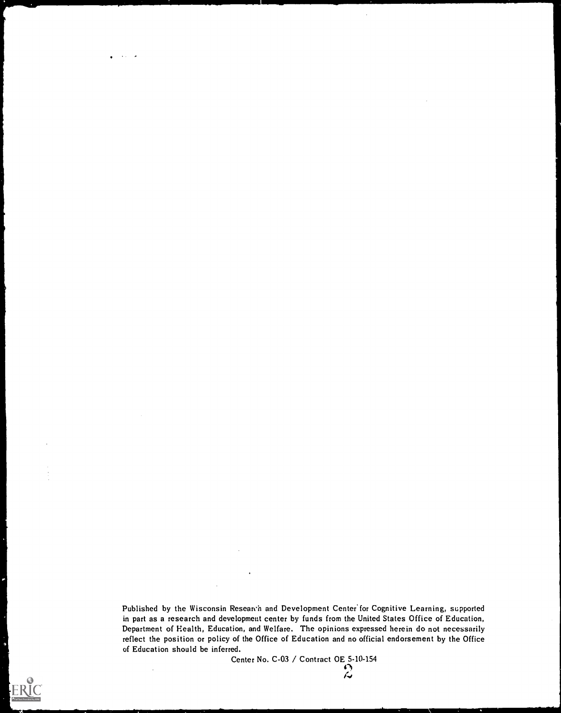Published by the Wisconsin Researth and Development Center for Cognitive Learning, supported in part as a research and development center by funds from the United States Office of Education, Department of Health, Education, and Welfare. The opinions expressed herein do not necessarily reflect the position or policy of the Office of Education and no official endorsement by the Office of Education should be inferred.

Center No. C-03 / Contract OE 5-10-154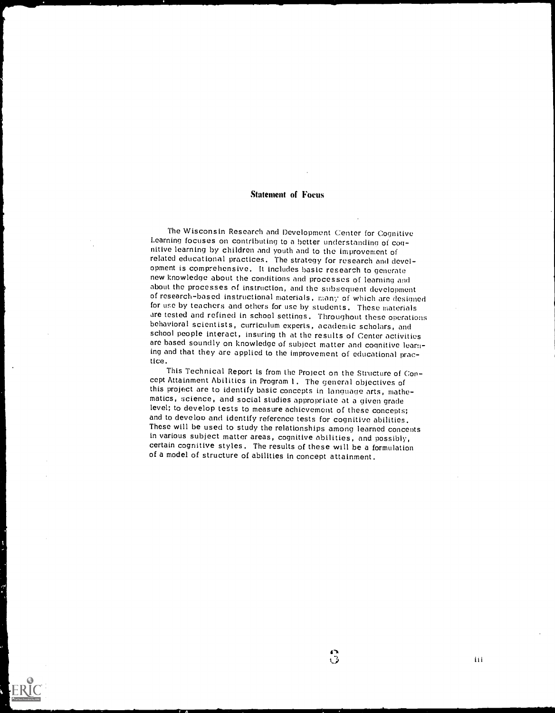#### Statement of Focus

The Wisconsin Research and Development Center for Cognitive Learning focuses on contributing to a better understanding of cog- nitive learning by children and youth and to the improvement of related educational practices. The strategy for research and development is comprehensive. It includes basic research to generate new knowledge about the conditions and processes of learning and<br>about the processes of instruction, and the subsequent development of research-based instructional materials, many of which are designed for use by teachers and others for use by students. These materials are tested and refined in school settings. Throughout these operations behavioral scientists, curriculum experts, academic scholars, and school people interact, insuring th at the results of Center activities are based soundly on knowledge of subject matter and cognitive learning and that they are applied to the improvement of educational prac-tice

This Technical Report is from the Project on the Structure of Concept Attainment Abilities in Program l. The general objectives of matics, science, and social studies appropriate at a given grade<br>level; to develop tests to measure achievement of these concepts; and to develop and identify reference tests for cognitive abilities.<br>These will be used to study the relationships among learned concepts<br>in various subject matter areas, cognitive abilities, and possibly, certain cognitive styles. The results of these will be a formulation of a model of structure of abilities in concept attainment.

 $\ddot{\ddot{\bm{\omega}}}$ 

iii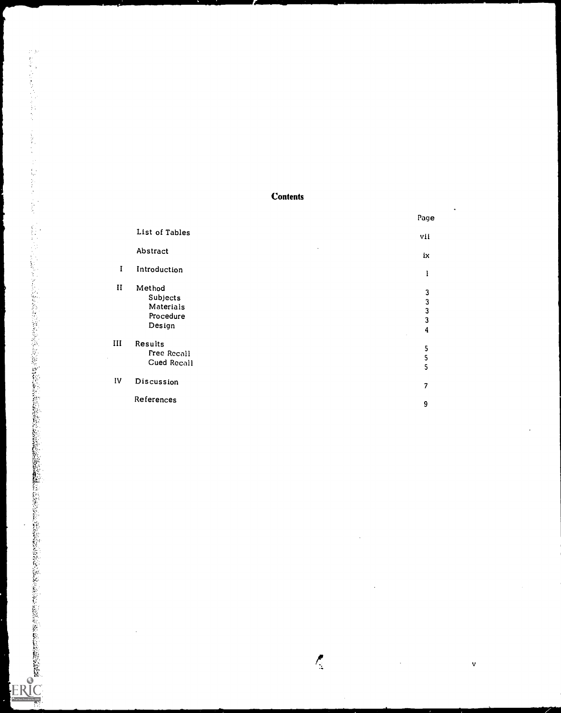## **Contents**

|              |                                                        | Page                                                                                               |
|--------------|--------------------------------------------------------|----------------------------------------------------------------------------------------------------|
|              | List of Tables                                         | vii                                                                                                |
|              | $\cdot$<br>Abstract                                    | iх                                                                                                 |
| $\mathbf{I}$ | Introduction                                           | 1                                                                                                  |
| $\mathbf{I}$ | Method<br>Subjects<br>Materials<br>Procedure<br>Design | $\mathbf{3}$<br>$\overline{\mathbf{3}}$<br>$\overline{\mathbf{3}}$<br>$\overline{\mathbf{3}}$<br>4 |
| III          | Results<br>Free Recall<br>Cued Recall                  | 5<br>$\frac{5}{5}$                                                                                 |
| IV           | Discussion                                             | $\overline{\phantom{a}}$                                                                           |
|              | References                                             | 9                                                                                                  |

 $\mathbf{v}$ 

 $\ddot{\phantom{a}}$ 

 $\bar{z}$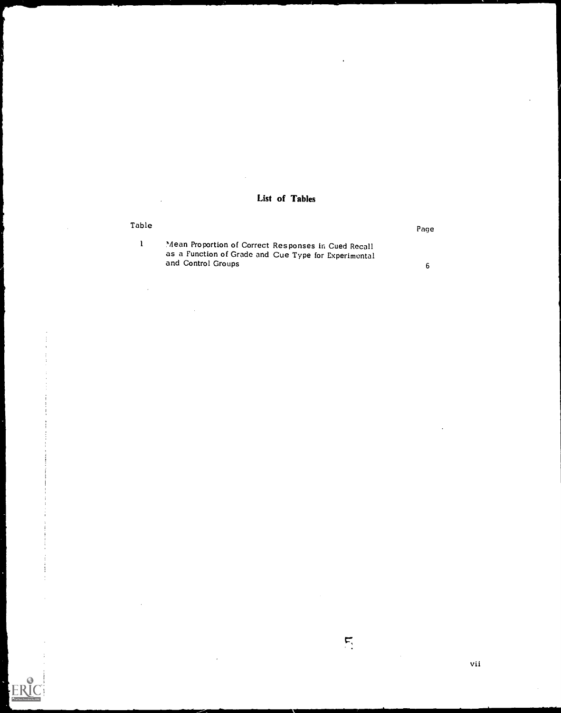## List of Tables

## Table Page <sup>1</sup> Mean Proportion of Correct Responses in Cued Recall as a Function of Grade and Cue Type for Experimental and Control Groups 6

 $\mathbf{r}_i$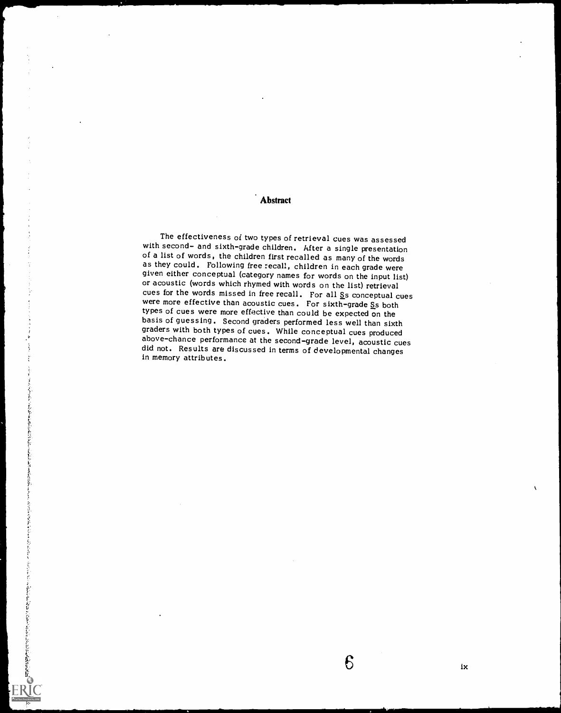**Abstract** 

The effectiveness of two types of retrieval cues was assessed<br>with second- and sixth-grade children. After a single presentation<br>of a list of words, the children first recalled as many of the words<br>as they could. Following cues for the words missed in free recall. For all  $S$ s conceptual cues were more effective than acoustic cues. For sixth-grade  $S$ s both types of cues were more effective than could be expected on the basis of guessing. Second graders performed less well than sixth graders with both types of cues. While conceptual cues produced did not. Results are discussed in terms of developmental changes in memory attributes.

ix

6

「大きさいこのからはないのは、このようには、そのように、そのことに、このように、このように、そのことに、そのことに、そのことは、このことは、SESSには、SESSによって、そのことになっている。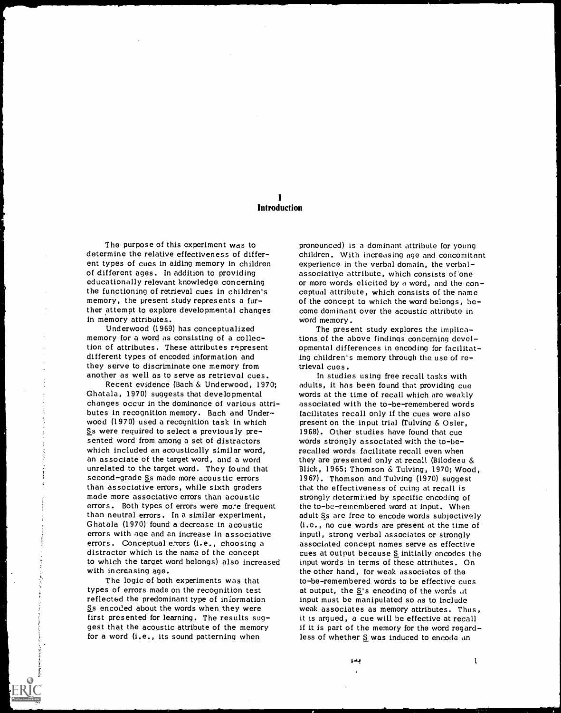### I Introduction

The purpose of this experiment was to determine the relative effectiveness of different types of cues in aiding memory in children of different ages. In addition to providing educationally relevant knowledge concerning the functioning of retrieval cues in children's memory, the present study represents a further attempt to explore developmental changes in memory attributes.

Underwood (1969) has conceptualized memory for a word as consisting of a collection of attributes. These attributes represent different types of encoded information and they serve to discriminate one memory from another as well as to serve as retrieval cues.

Recent evidence (Bach & Underwood, 1970; Ghatala, 1970) suggests that developmental changes occur in the dominance of various attributes in recognition memory. Bach and Underwood (1970) used a recognition task in which Ss were required to select a previously presented word from among a set of distractors which included an acoustically similar word, an associate of the target word, and a word unrelated to the target word. They found that second-grade Ss made more acoustic errors than associative errors, while sixth graders made more associative errors than acoustic errors. Both types of errors were mo:e frequent than neutral errors. In a similar experiment, Ghatala (1970) found a decrease in acoustic errors with age and an increase in associative errors. Conceptual e. rors (i.e., choosing a distractor which is the name of the concept to which the target word belongs) also increased with increasing age.

The logic of both experiments was that types of errors made on the recognition test reflected the predominant type of information Ss encoded about the words when they were first presented for learning. The results suggest that the acoustic attribute of the memory for a word (i.e., its sound patterning when

pronounced) is a dominant attribute for young children. With increasing age and concomitant experience in the verbal domain, the verbalassociative attribute, which consists of'one or more words elicited by a word, and the conceptual attribute, which consists of the name of the concept to which the word belongs, become dominant over the acoustic attribute in word memory.

The present study explores the implications of the above findings concerning developmental differences in encoding for facilitating children's memory through the use of retrieval cues.

In studies using free recall tasks with adults, it has been found that providing cue words at the time of recall which arc weakly associated with the to-be-remembered words facilitates recall only if the cues were also present on the input trial (Tulving  $&$  Osler, 1968). Other studies have found that cue words strongly associated with the to-berecalled words facilitate recall even when they are presented only at recall (Bilodeau & Blick, 1965; Thomson & Tulving, 1970; Wood, 1967). Thomson and Tulving (1970) suggest that the effectiveness of cuing at recall is strongly determi.led by specific encoding of the to-be-remembered word at input. When adult Ss are free to encode words subjectively (i.e., no cue words are present at the time of input), strong verbal associates or strongly associated concept names serve as effective cues at output because S initially encodes the input words in terms of these attributes. On the other hand, for weak associates of the to-be-remembered words to be effective cues at output, the  $S$ 's encoding of the words at input must be manipulated so as to include weak associates as memory attributes. Thus, it is argued, a cue will be effective at recall if it is part of the memory for the word regardless of whether S was induced to encode an

بمو

 $\mathbf{I}$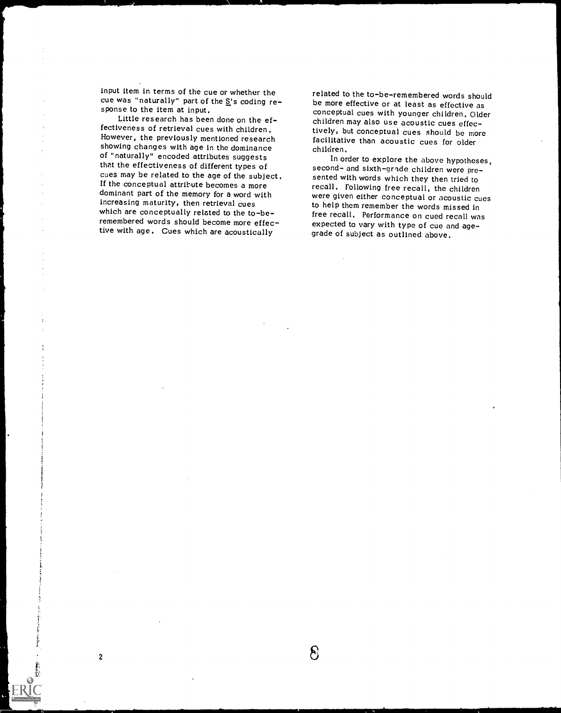input item in terms of the cue or whether the cue was "naturally" part of the  $\Sigma$ 's coding response to the item at input.

 $\bar{z}$ 

Little research has been done on the effectiveness of retrieval cues with children. However, the previously mentioned research showing changes with age in the dominance of "naturally" encoded attributes suggests that the effectiveness of different types of cues may be related to the age of the subject. If the conceptual attribute becomes a more dominant part of the memory for a word with increasing maturity, then retrieval cues which are conceptually related to the to-beremembered words should become more effec-

2

related to the to-be-remembered words should be more effective or at least as effective as conceptual cues with younger children. Older children may also use acoustic cues effectively, but conceptual cues should be more facilitative than acoustic cues for older children,

remembered words should become more effec-<br>tive with age. Cues which are acoustically grade of subject as outlined above. In order to explore the above hypotheses, second- and sixth-grade children were presented with words which they then tried to recall, Following free recall, the children were given either conceptual or acoustic cues to help them remember the words missed in free recall. Performance on cued recall was grade of subject as outlined above.

 $\sim$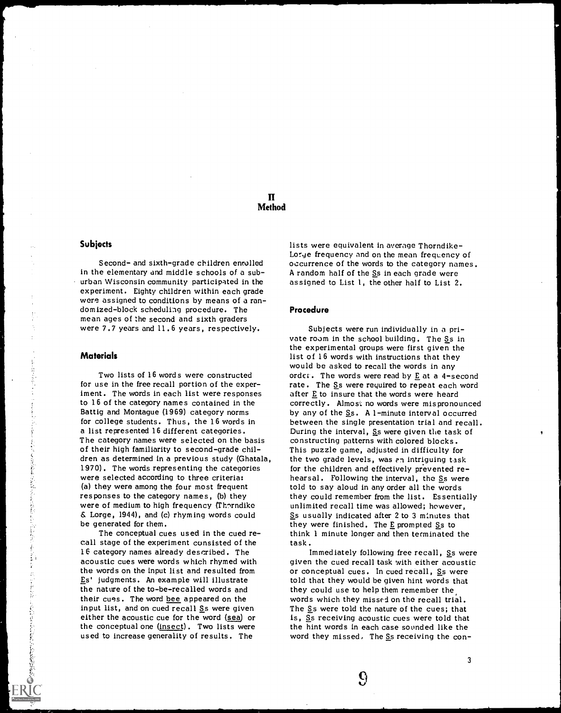## II **Method**

#### Subjects

Second- and sixth-grade children enrolled in the elementary dnd middle schools of a suburban Wisconsin community participated in the experiment. Eighty children within each grade were assigned to conditions by means of a randomized-block scheduling procedure. The mean ages of the second and sixth graders were 7.7 years and 11.6 years, respectively.

#### Materials

计自动程序

あやな くもめおものを起こるものながら

in the control of the control of the control of the control of the control of the control of the control of the control of the control of the control of the control of the control of the control of the control of the contr

|共によりおけるのですのですが、これにも変更

Two lists of 16 words were constructed for use in the free recall portion of the experiment. The words in each list were responses to 16 of the category names contained in the Battig and Montague (1969) category norms for college students. Thus, the 16 words in a list represented 16 different categories. The category names were selected on the basis of their high familiarity to second-grade children as determined in a previous study (Ghatala, 1970). The words representing the categories were selected according to three criteria: (a) they were among the four most frequent responses to the category names, (b) they were of medium to high frequency (Thorndike & Lorge, 1944), and (c) rhyming words could be generated for them.

The conceptual cues used in the cued recall stage of the experiment consisted of the 16 category names already described. The acoustic cues were words which rhymed with the words on the input list and resulted from Es' judgments. An example will illustrate the nature of the to-be-recalled words and their cues. The word bee appeared on the input list, and on cued recall  $S$ s were given either the acoustic cue for the word (sea) or the conceptual one (insect). Two lists were used to increase generality of results. The

lists were equivalent in average Thorndike-Lorge frequency and on the mean frequency of occurrence of the words to the category names. A random half of the Ss in each grade were assigned to List 1, the other half to List 2.

#### Procedure

Subjects were run individually in a private room in the school building. The Ss in the experimental groups were first given the list of 16 words with instructions that they would be asked to recall the words in any order. The words were read by  $E$  at a 4-second rate. The Ss were required to repeat each word after  $E$  to insure that the words were heard correctly. Almost: no words were mispronounced by any of the  $S_s$ . A 1-minute interval occurred between the single presentation trial and recall. During the interval, Ss were given the task of constructing patterns with colored blocks. This puzzle game, adjusted in difficulty for the two grade levels, was en intriguing task for the children and effectively prevented rehearsal. Following the interval, the Ss were told to say aloud in any order all the words they could remember from the list. Essentially unlimited recall time was allowed; however, Ss usually indicated after 2 to 3 minutes that they were finished. The  $E$  prompted  $S$ s to think 1 minute longer and then terminated the task.

Immediately following free recall, Ss were given the cued recall task with either acoustic or conceptual cues. In cued recall, Ss were told that they would be given hint words that they could use to help them remember the words which they missed on the recall trial. The Ss were told the nature of the cues; that is, Ss receiving acoustic cues were told that the hint words in each case sounded like the word they missed, The Ss receiving the con-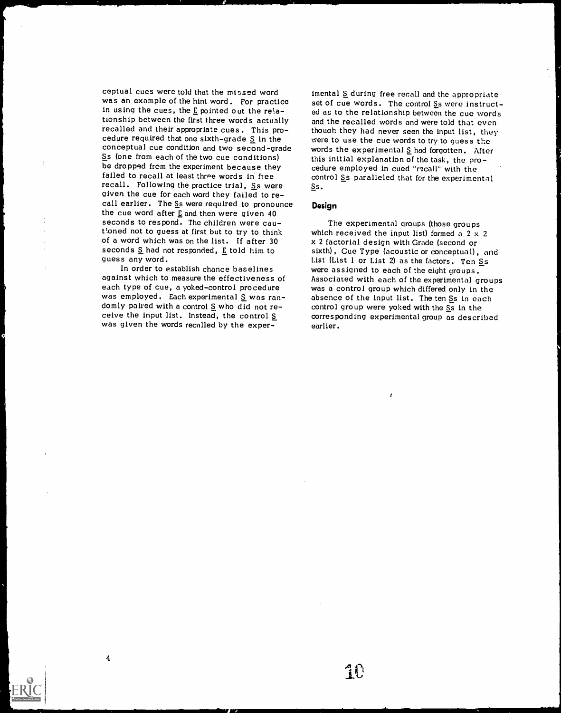ceptual cues were told that the missed word was an example of the hint word. For practice in using the cues, the E pointed out the relationship between the first three words actually recalled and their appropriate cues. This procedure required that one sixth-grade  $S$  in the conceptual cue condition and two second-grade Ss (one from each of the two cue conditions) be dropped from the experiment because they failed to recall at least three words in free recall. Following the practice trial,  $S<sub>S</sub>$  were given the cue for each word they failed to recall earlier. The Ss were required to pronounce the cue word after  $E$  and then were given 40 seconds to respond. The children were cautioned not to guess at first but to try to think of a word which was on the list. If after 30 seconds  $S$  had not responded,  $E$  told him to guess any word.

In order to establish chance baselines against which to measure the effectiveness of each type of cue, a yoked-control procedure was employed. Each experimental  $S$  was ran-<br>domly paired with a control  $S$  who did not receive the input list. Instead, the control S was given the words recalled by the exper-

4

imental S during free recall and the appropriate set of cue words. The control Ss were instructed as to the relationship between the cue words and the recalled words and were told that even thouah they had never seen the input list, they were to use the cue words to try to guess the words the experimental  $S$  had forgotten. After this initial explanation of the task, the procedure employed in cued "recall" with the control Ss paralleled that for the experimental Ss.

#### Design

The experimental groups (those groups which received the input list) formed a  $2 \times 2$ x 2 factorial design with Grade (second or sixth), Cue Type (acoustic or conceptual), and List (List 1 or List 2) as the factors. Ten  $S$ s were assigned to each of the eight groups. Associated with each of the experimental groups was a control group which differed only in the absence of the input list. The ten Ss in each control group were yoked with the Ss in the corresponding experimental group as described earlier.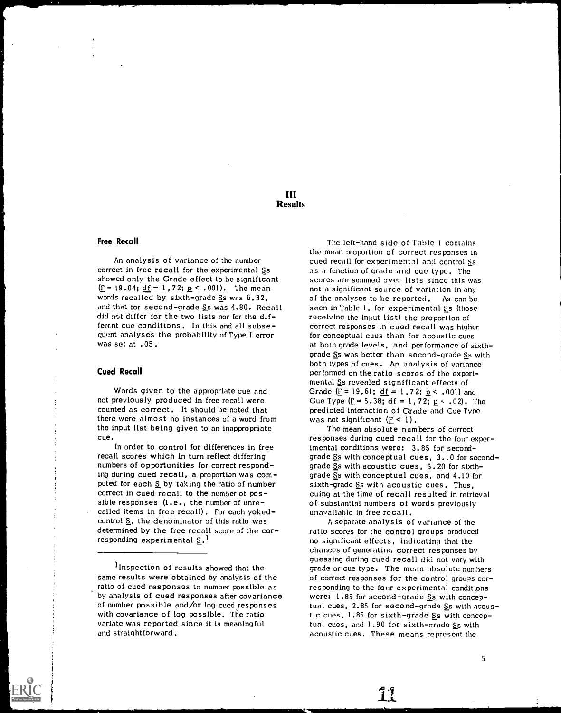### III Results

#### Free Recall

An analysis of variance of the number correct in free recall for the experimental Ss showed only the Grade effect to be significant  $(i = 19.04; \underline{df} = 1, 72; \underline{p} < .001)$ . The mean words recalled by sixth-grade Ss was 6.32, and that for second-grade Ss was 4.80. Recall did not differ for the two lists nor for the different cue conditions. In this and all subsequent analyses the probability of Type I error was set at .05.

#### Cued Recall

Words given to the appropriate cue and not previously produced in free recall were counted as correct. It should be noted that there were almost no instances of a word from was not significant  $(E < 1)$ . the input list being given to an inappropriate cue.

In order to control for differences in free recall scores which in turn reflect differing numbers of opportunities for correct responding during cued recall, a proportion was computed for each  $S$  by taking the ratio of number correct in cued recall to the number of possible responses  $(i.e., the number of unre-called items in free recall). For each cycle  $$$ control  $S$ , the denominator of this ratio was determined by the free recall score of the corresponding experimental S.1

<sup>1</sup> Inspection of results showed that the same results were obtained by analysis of the ratio of cued responses to number possible as by analysis of cued responses after covariance of number possible and/or log cued responses with covariance of log possible. The ratio variate was reported since it is meaningful and straightforward.

The left-hand side of Table 1 contains the mean proportion of correct responses in cued recall for experimental and control Ss as a function of grade and cue type. The scores are summed over lists since this was not a significant source of variation in any of the analyses to be reported. As can be seen in Table 1, for experimental Ss (those receiving the input list) the proportion of correct responses in cued recall was higher for conceptual cues than for acoustic cues at both grade levels, and performance of sixthgrade Ss was better than second-grade Ss with both types of cues. An analysis of variance performed on the ratio scores of the experimental Ss revealed significant effects of Grade  $($ <u>F</u> = 19.61; <u>df</u> = 1,72; <u>p</u> < .001) and Cue Type  $(\underline{F} = 5.38; \underline{df} = 1.72; \underline{p} < .02)$ . The predicted interaction of Grade and Cue Type

The mean absolute numbers of correct responses during cued recall for the four experimental conditions were: 3.85 for secondgrade Ss with conceptual cues, 3.10 for secondgrade Ss with acoustic cues, 5.20 for sixthgrade Ss with conceptual cues, and 4.10 for sixth-grade Ss with acoustic cues. Thus, cuing at the time of recall resulted in retrieval of substantial numbers of words previously unavailable in free recall.

A separate analysis of variance of the ratio scores for the control groups produced no significant effects, indicating that the chances of generating correct responses by guessing during cued recall did not vary with grade or cue type. The mean absolute numbers of correct responses for the control groups corresponding to the four experimental conditions were: 1.85 for second-grade Ss with conceptual cues, 2.85 for second-grade Ss with acoustic cues, 1.85 for sixth-grade Ss with conceptual cues, and  $1.90$  for sixth-grade Ss with acoustic cues. These means represent the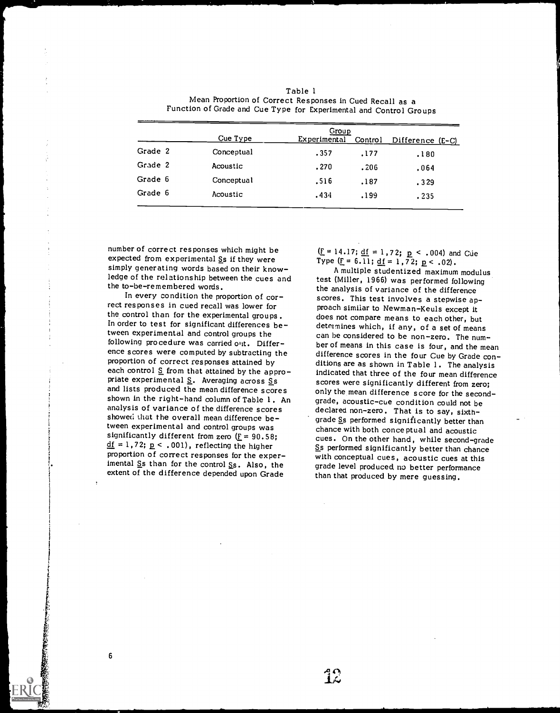|         | Group      |              |         |                  |
|---------|------------|--------------|---------|------------------|
|         | Cue Type   | Experimental | Control | Difference (E-C) |
| Grade 2 | Conceptual | .357         | .177    | .180             |
| Grade 2 | Acoustic   | .270         | .206    | .064             |
| Grade 6 | Conceptual | .516         | .187    | .329             |
| Grade 6 | Acoustic   | .434         | .199    | .235             |

| Table l                                                            |  |
|--------------------------------------------------------------------|--|
| Mean Proportion of Correct Responses in Cued Recall as a           |  |
| Function of Grade and Cue Type for Experimental and Control Groups |  |

number of correct responses which might be expected from experimental Ss if they were simply generating words based on their knowsimply generating words based on their know-hold and analysis and all altiple studentized maximum modulus ledge of the relationship between the cues and the final test (Miller, 1966) was performed following the to-be-remembered words.

In every condition the proportion of correct responses in cued recall was lower for the control than for the experimental groups. In order to test for significant differences between experimental and control groups the following procedure was carried out. Difference scores were computed by subtracting the proportion of correct responses attained by each control  $S$  from that attained by the appropriate experimental  $S$ . Averaging across Ss and lists produced the mean difference scores shown in the right-hand column of Table 1. An analysis of variance of the difference scores showed that the overall mean difference between experimental and control groups was<br>significantly different from zero  $(E = 90.58)$ ;  $\underline{df} = 1,72; \underline{p} < .001$ , reflecting the higher proportion of correct responses for the experimental  $S$ s than for the control  $S$ s. Also, the extent of the difference depended upon Grade

6

( $\underline{F} = 14.17$ ;  $\underline{df} = 1.72$ ;  $\underline{p} < .004$ ) and Cue<br>Type ( $\underline{F} = 6.11$ ;  $\underline{df} = 1.72$ ;  $\underline{p} < .02$ ).

test (Miller, 1966) was performed following the analysis of variance of the difference scores. This test involves a stepwise approach similar to Newman-Keuls except it does not compare means to each other, but determines which, if any, of a set of means can be considered to be non-zero. The number of means in this case is four, and the mean difference scores in the four Cue by Grade conditions are as shown in Table 1. The analysis indicated that three of the four mean difference scores were significantly different from zero; only the mean difference score for the secondgrade, acoustic-cue condition could not be declared non-zero. That is to say, sixthgrade Ss performed significantly better than chance with both conceptual and acoustic cues. On the other hand, while second-grade Ss performed significantly better than chance with conceptual cues, acoustic cues at this grade level produced no better performance than that produced by mere guessing.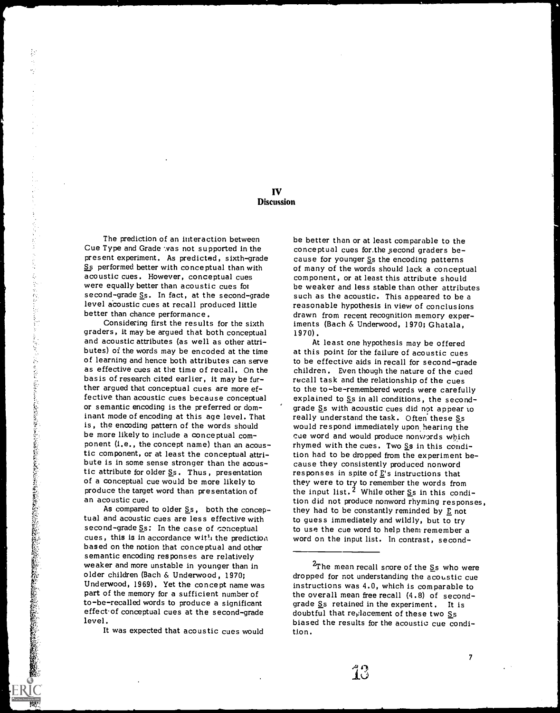### IV **Discussion**

The prediction of an interaction between Cue Type and Grade was not supported in the present experiment. As predicted, sixth-grade Ss performed better with conceptual than with acoustic cues. However, conceptual cues were equally better than acoustic cues for second-grade Ss. In fact, at the second-grade level acoustic cues at recall produced little better than chance performance.

Considering first the results for the sixth graders, it may be argued that both conceptual and acoustic attributes (as well as other attributes) of the words may be encoded at the time of learning and hence both attributes can serve as effective cues at the time of recall. On the children. Even though the nature of the cued basis of research cited earlier, it may be further argued that conceptual cues are more effective than acoustic cues because conceptual or semantic encoding is the preferred or dominant mode of encoding at this age level. That is, the encoding pattern of the words should be more likely to include a conceptual component (1.e., the concept name) than an acoustic component, or at least the conceptual attri- bute is in some sense stronger than the acoustic attribute for older Ss. Thus, presentation of a conceptual cue would be more likely to produce the target word than presentation of an acoustic cue.

As compared to older  $S_s$ , both the conceptual and acoustic cues are less effective with second-grade Ss: In the case of conceptual cues, this is in accordance with the prediction based on the notion that conceptual and other semantic encoding responses are relatively weaker and more unstable in younger than in older children (Bach & Underwood, 1970; Underwood, 1969). Yet the concept name was part of the memory for a sufficient number of to-be-recalled words to produce a significant effect of conceptual cues at the second-grade level.

It was expected that acoustic cues would

be better than or at least comparable to the conceptual cues for.the second graders because for younger Ss the encoding patterns of many of the words should lack a conceptual component, or at least this attribute should be weaker and less stable than other attributes such as the acoustic. This appeared to be a reasonable hypothesis in view of conclusions drawn from recent recognition memory experiments (Bach & Underwood, 1970; Ghatala, 1970).

At least one hypothesis may be offered at this point for the failure of acoustic cues to be effective aids in recall for second-grade recall task and the relationship of the cues to the to-be-remembered words were carefully explained to  $S<sub>S</sub>$  in all conditions, the secondgrade Ss with acoustic cues did not appear to really understand the task. Often these Ss would respond immediately upon, hearing the cue word and would produce nonwords which rhymed with the cues. Two  $S$ s in this condition had to be dropped from the experiment because they consistently produced nonword responses in spite of  $\underline{E}$ 's instructions that they were to try to remember the words from the input list. <sup>2</sup> While other  $\underline{S}$ s in this condition did not produce nonword rhyming responses, they had to be constantly reminded by  $E$  not to guess immediately and wildly, but to try to use the cue word to help them remember a word on the input list. In contrast, second-

13

 $^{2}$ The mean recall score of the Ss who were dropped for not understanding the acoustic cue instructions was 4.0, which is comparable to the overall mean free recall (4.8) of secondgrade S<sub>s</sub> retained in the experiment. It is doubtful that reglacement of these two Ss biased the results for the acoustic cue condition.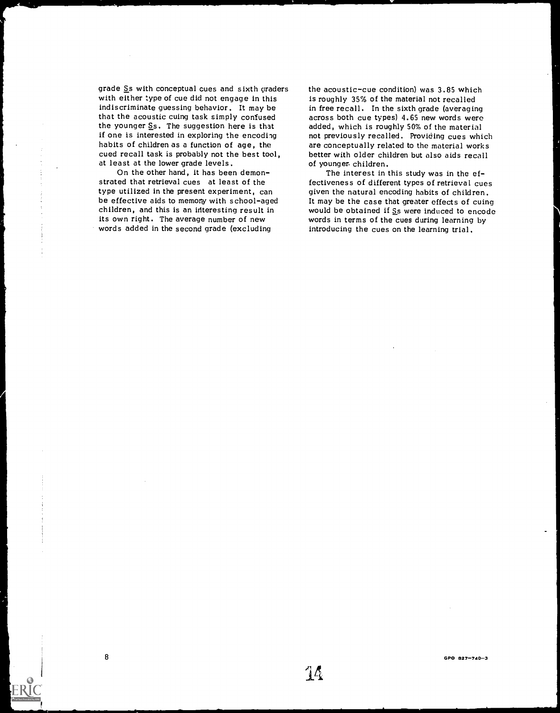grade Ss with conceptual cues and sixth graders with either type of cue did not engage in this indiscriminate guessing behavior. It may be that the acoustic cuing task simply confused the younger  $S$ s. The suggestion here is that if one is interested in exploring the encoding habits of children as a function of age, the cued recall task is probably not the best tool, at least at the lower grade levels.

On the other hand, it has been demonstrated that retrieval cues at least of the type utilized in the present experiment, can be effective aids to memory with school-aged children, and this is an interesting result in its own right. The average number of new words added in the second grade (excluding

8

the acoustic-cue condition) was 3.85 which is roughly 35% of the material not recalled in free recall. In the sixth grade (averaging across both cue types) 4.65 new words were added, which is roughly 50% of the material not previously recalled. Providing cues which are conceptually related to the material works better with older children but also aids recall of younger. children.

The interest in this study was in the effectiveness of different types of retrieval cues given the natural encoding habits of children. It may be the case that greater effects of cuing would be obtained if Ss were induced to encode words in terms of the cues during learning by introducing the cues on the learning trial.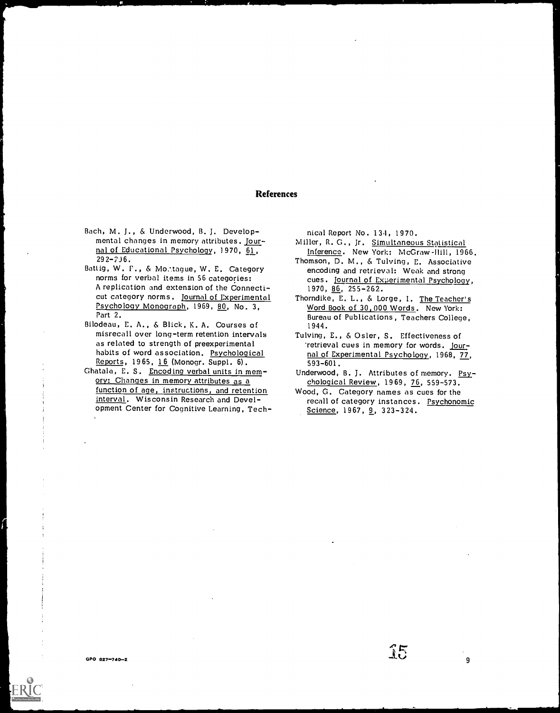## References

- Bach, M. J., & Underwood, B. J. Developmental changes in memory attributes. Jour- nal of Educational Psychology, )970, 61,  $292 - 236.$
- Battig, W. F., & Mo.tague, W. E. Category norms for verbal items in 56 categories: A replication and extension of the Connecticut category norms. Journal of Experimental Psychology Monograph, 1969, 80, No. 3, Part 2.
- Bilodeau, E. A., & Blick, K. A. Courses of misrecall over long-term retention intervals as related to strength of preexperimental habits of word association. Psychological<br>Reports, 1965, 16 (Monogr. Suppl. 6).
- Ghatala, E. S. Encoding verbal units in memory: Changes in memory attributes as a function of age, instructions, and retention interval. Wisconsin Research and Development Center for Cognitive Learning, Tech-

nical Report No. 134, 1970.

- Miller, R. G. Jr. Simultaneous Statistical Inference. New York: McGraw-Hill, 1966.
- Thomson, D. M., & Tulving, E. Associative encoding and retrieval: Weak and strong cues. journal of Experimental Psychology, 1970, 86, 255-262.
- Thorndike, E. L., & Lorge, I. The Teacher's Word Book of 30,000 Words. New York: Bureau of Publications, Teachers College, 1944.
- Tulving, E., & Osier, S. Effectiveness of 'retrieval cues in memory for words. Journal of Experimental Psychology, 1968, 77, 593-601.
- Underwood, B. J. Attributes of memory. Psychological Review, 1969, 76, 559-573.
- Wood, G. Category names as cues for the recall of category instances. Psychonomic<br>Science, 1967, 9, 323-324.

15